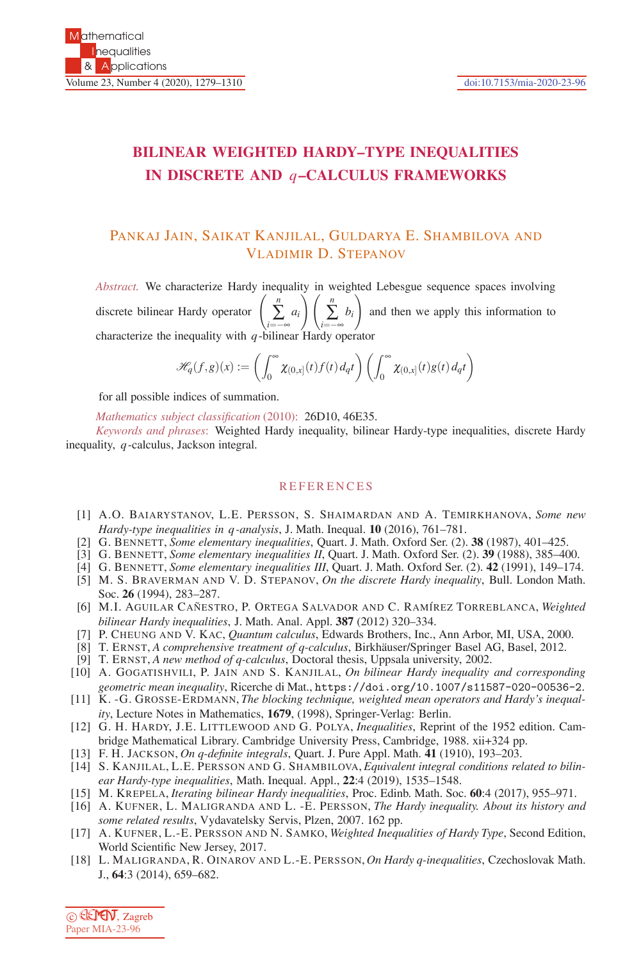## **BILINEAR WEIGHTED HARDY–TYPE INEQUALITIES IN DISCRETE AND** *q***–CALCULUS FRAMEWORKS**

## PANKAJ JAIN, SAIKAT KANJILAL, GULDARYA E. SHAMBILOVA AND VLADIMIR D. STEPANOV

*Abstract.* We characterize Hardy inequality in weighted Lebesgue sequence spaces involving discrete bilinear Hardy operator *n* ∑ *i*=−∞ / \*i*=−∞ / characterize the inequality with *q*-bilinear Hardy operator *ai*  $\setminus$  / *n* ∑ *bi*  $\setminus$ and then we apply this information to

$$
\mathscr{H}_q(f,g)(x) := \left(\int_0^\infty \chi_{(0,x]}(t)f(t) \, d_qt\right) \left(\int_0^\infty \chi_{(0,x]}(t)g(t) \, d_qt\right)
$$

for all possible indices of summation.

*Mathematics subject classification* (2010): 26D10, 46E35.

*Keywords and phrases*: Weighted Hardy inequality, bilinear Hardy-type inequalities, discrete Hardy inequality, *q*-calculus, Jackson integral.

## **REFERENCES**

- [1] A.O. BAIARYSTANOV, L.E. PERSSON, S. SHAIMARDAN AND A. TEMIRKHANOVA, *Some new Hardy-type inequalities in q -analysis*, J. Math. Inequal. **10** (2016), 761–781.
- [2] G. BENNETT, *Some elementary inequalities*, Quart. J. Math. Oxford Ser. (2). **38** (1987), 401–425.
- [3] G. BENNETT, *Some elementary inequalities II*, Quart. J. Math. Oxford Ser. (2). **39** (1988), 385–400.
- [4] G. BENNETT, *Some elementary inequalities III*, Quart. J. Math. Oxford Ser. (2). **42** (1991), 149–174.
- [5] M. S. BRAVERMAN AND V. D. STEPANOV, *On the discrete Hardy inequality*, Bull. London Math. Soc. **26** (1994), 283–287.
- [6] M.I. AGUILAR CAÑESTRO, P. ORTEGA SALVADOR AND C. RAMÍREZ TORREBLANCA, *Weighted bilinear Hardy inequalities*, J. Math. Anal. Appl. **387** (2012) 320–334.
- [7] P. CHEUNG AND V. KAC, *Quantum calculus*, Edwards Brothers, Inc., Ann Arbor, MI, USA, 2000.
- [8] T. ERNST, *A comprehensive treatment of q-calculus*, Birkhäuser/Springer Basel AG, Basel, 2012.
- [9] T. ERNST, *A new method of q-calculus*, Doctoral thesis, Uppsala university, 2002.
- [10] A. GOGATISHVILI, P. JAIN AND S. KANJILAL, *On bilinear Hardy inequality and corresponding geometric mean inequality*, Ricerche di Mat., https://doi.org/10.1007/s11587-020-00536-2.
- [11] K. -G. GROSSE-ERDMANN, *The blocking technique, weighted mean operators and Hardy's inequality*, Lecture Notes in Mathematics, **1679**, (1998), Springer-Verlag: Berlin.
- [12] G. H. HARDY, J.E. LITTLEWOOD AND G. POLYA, *Inequalities*, Reprint of the 1952 edition. Cambridge Mathematical Library. Cambridge University Press, Cambridge, 1988. xii+324 pp.
- [13] F. H. JACKSON, *On q-definite integrals*, Quart. J. Pure Appl. Math. **41** (1910), 193–203.
- [14] S. KANJILAL, L.E. PERSSON AND G. SHAMBILOVA, *Equivalent integral conditions related to bilinear Hardy-type inequalities*, Math. Inequal. Appl., **22**:4 (2019), 1535–1548.
- [15] M. KREPELA, *Iterating bilinear Hardy inequalities*, Proc. Edinb. Math. Soc. **60**:4 (2017), 955–971.
- [16] A. KUFNER, L. MALIGRANDA AND L. -E. PERSSON, *The Hardy inequality. About its history and some related results*, Vydavatelsky Servis, Plzen, 2007. 162 pp.
- [17] A. KUFNER, L.-E. PERSSON AND N. SAMKO, *Weighted Inequalities of Hardy Type*, Second Edition, World Scientific New Jersey, 2017.
- [18] L. MALIGRANDA, R. OINAROV AND L.-E. PERSSON, *On Hardy q-inequalities*, Czechoslovak Math. J., **64**:3 (2014), 659–682.